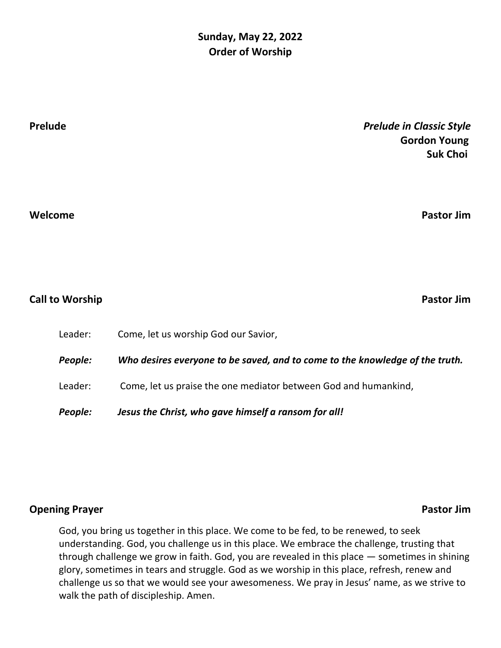# **Sunday, May 22, 2022 Order of Worship**

| <b>Prelude</b>         | <b>Prelude in Classic Style</b><br><b>Gordon Young</b><br><b>Suk Choi</b>    |
|------------------------|------------------------------------------------------------------------------|
| Welcome                | <b>Pastor Jim</b>                                                            |
| <b>Call to Worship</b> | <b>Pastor Jim</b>                                                            |
| Leader:                | Come, let us worship God our Savior,                                         |
| People:                | Who desires everyone to be saved, and to come to the knowledge of the truth. |
| Leader:                | Come, let us praise the one mediator between God and humankind,              |
| People:                | Jesus the Christ, who gave himself a ransom for all!                         |

## **Opening Prayer Pastor Jim**

God, you bring us together in this place. We come to be fed, to be renewed, to seek understanding. God, you challenge us in this place. We embrace the challenge, trusting that through challenge we grow in faith. God, you are revealed in this place — sometimes in shining glory, sometimes in tears and struggle. God as we worship in this place, refresh, renew and challenge us so that we would see your awesomeness. We pray in Jesus' name, as we strive to walk the path of discipleship. Amen.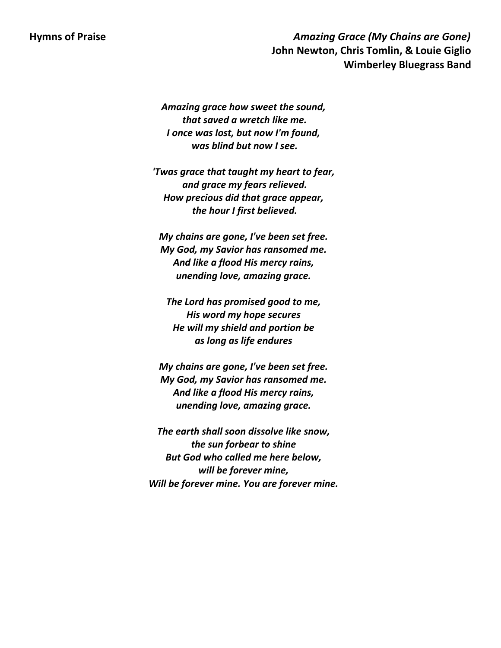**Hymns of Praise** *Amazing Grace (My Chains are Gone)* **John Newton, Chris Tomlin, & Louie Giglio Wimberley Bluegrass Band**

> *Amazing grace how sweet the sound, that saved a wretch like me. I once was lost, but now I'm found, was blind but now I see.*

*'Twas grace that taught my heart to fear, and grace my fears relieved. How precious did that grace appear, the hour I first believed.*

*My chains are gone, I've been set free. My God, my Savior has ransomed me. And like a flood His mercy rains, unending love, amazing grace.*

*The Lord has promised good to me, His word my hope secures He will my shield and portion be as long as life endures*

*My chains are gone, I've been set free. My God, my Savior has ransomed me. And like a flood His mercy rains, unending love, amazing grace.*

*The earth shall soon dissolve like snow, the sun forbear to shine But God who called me here below, will be forever mine, Will be forever mine. You are forever mine.*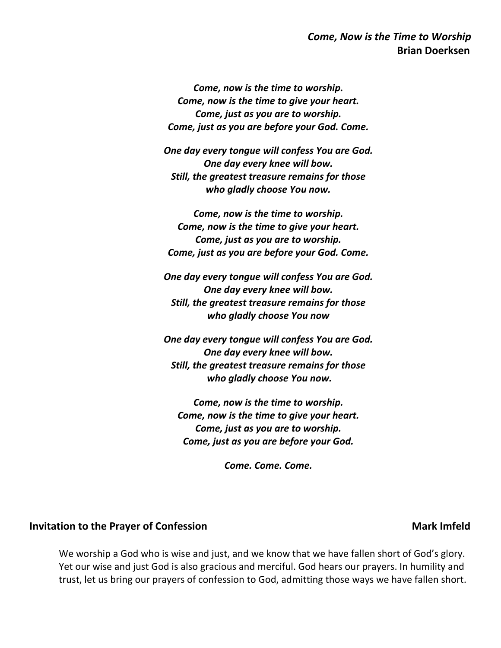### *Come, Now is the Time to Worship*  **Brian Doerksen**

*Come, now is the time to worship. Come, now is the time to give your heart. Come, just as you are to worship. Come, just as you are before your God. Come.*

*One day every tongue will confess You are God. One day every knee will bow. Still, the greatest treasure remains for those who gladly choose You now.*

*Come, now is the time to worship. Come, now is the time to give your heart. Come, just as you are to worship. Come, just as you are before your God. Come.*

*One day every tongue will confess You are God. One day every knee will bow. Still, the greatest treasure remains for those who gladly choose You now*

*One day every tongue will confess You are God. One day every knee will bow. Still, the greatest treasure remains for those who gladly choose You now.*

*Come, now is the time to worship. Come, now is the time to give your heart. Come, just as you are to worship. Come, just as you are before your God.*

*Come. Come. Come.*

### **Invitation to the Prayer of Confession** Mark Imfeld

We worship a God who is wise and just, and we know that we have fallen short of God's glory. Yet our wise and just God is also gracious and merciful. God hears our prayers. In humility and trust, let us bring our prayers of confession to God, admitting those ways we have fallen short.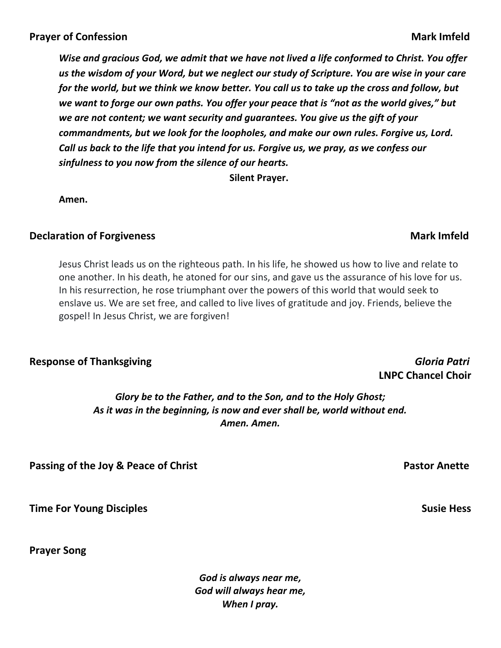*Wise and gracious God, we admit that we have not lived a life conformed to Christ. You offer us the wisdom of your Word, but we neglect our study of Scripture. You are wise in your care for the world, but we think we know better. You call us to take up the cross and follow, but we want to forge our own paths. You offer your peace that is "not as the world gives," but we are not content; we want security and guarantees. You give us the gift of your commandments, but we look for the loopholes, and make our own rules. Forgive us, Lord. Call us back to the life that you intend for us. Forgive us, we pray, as we confess our sinfulness to you now from the silence of our hearts.* 

**Silent Prayer.**

### **Amen.**

## **Declaration of Forgiveness** Mark Imfeld

Jesus Christ leads us on the righteous path. In his life, he showed us how to live and relate to one another. In his death, he atoned for our sins, and gave us the assurance of his love for us. In his resurrection, he rose triumphant over the powers of this world that would seek to enslave us. We are set free, and called to live lives of gratitude and joy. Friends, believe the gospel! In Jesus Christ, we are forgiven!

### **Response of Thanksgiving** *Gloria Patri*

**LNPC Chancel Choir**

*Glory be to the Father, and to the Son, and to the Holy Ghost; As it was in the beginning, is now and ever shall be, world without end. Amen. Amen.*

Passing of the Joy & Peace of Christ **Passing of the Joy & Peace of Christ** Pastor Anette

**Time For Young Disciples** Susie Hess Susie Hess

**Prayer Song**

*God is always near me, God will always hear me, When I pray.*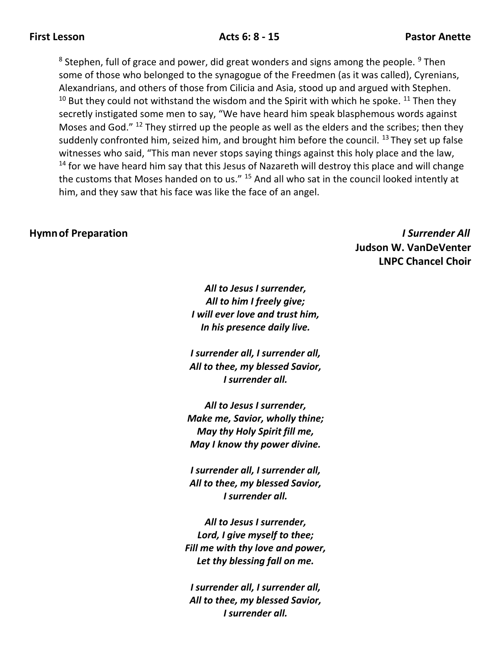$^8$  Stephen, full of grace and power, did great wonders and signs among the people.  $^9$  Then some of those who belonged to the synagogue of the Freedmen (as it was called), Cyrenians, Alexandrians, and others of those from Cilicia and Asia, stood up and argued with Stephen.  $10$  But they could not withstand the wisdom and the Spirit with which he spoke.  $11$  Then they secretly instigated some men to say, "We have heard him speak blasphemous words against Moses and God." <sup>12</sup> They stirred up the people as well as the elders and the scribes; then they suddenly confronted him, seized him, and brought him before the council.  $^{13}$  They set up false witnesses who said, "This man never stops saying things against this holy place and the law,  $14$  for we have heard him say that this Jesus of Nazareth will destroy this place and will change the customs that Moses handed on to us." <sup>15</sup> And all who sat in the council looked intently at him, and they saw that his face was like the face of an angel.

**Hymnof Preparation** *I Surrender All* **Judson W. VanDeVenter LNPC Chancel Choir**

> *All to Jesus I surrender, All to him I freely give; I will ever love and trust him, In his presence daily live.*

*I surrender all, I surrender all, All to thee, my blessed Savior, I surrender all.* 

*All to Jesus I surrender, Make me, Savior, wholly thine; May thy Holy Spirit fill me, May I know thy power divine.*

*I surrender all, I surrender all, All to thee, my blessed Savior, I surrender all.* 

*All to Jesus I surrender, Lord, I give myself to thee; Fill me with thy love and power, Let thy blessing fall on me.*

*I surrender all, I surrender all, All to thee, my blessed Savior, I surrender all.*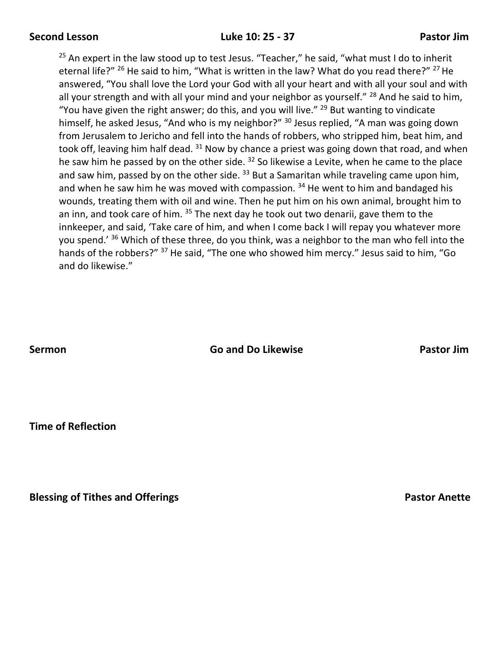<sup>25</sup> An expert in the law stood up to test Jesus. "Teacher," he said, "what must I do to inherit eternal life?"  $^{26}$  He said to him, "What is written in the law? What do you read there?"  $^{27}$  He answered, "You shall love the Lord your God with all your heart and with all your soul and with all your strength and with all your mind and your neighbor as yourself."  $^{28}$  And he said to him, "You have given the right answer; do this, and you will live."  $^{29}$  But wanting to vindicate himself, he asked Jesus, "And who is my neighbor?" <sup>30</sup> Jesus replied, "A man was going down from Jerusalem to Jericho and fell into the hands of robbers, who stripped him, beat him, and took off, leaving him half dead.  $31$  Now by chance a priest was going down that road, and when he saw him he passed by on the other side. <sup>32</sup> So likewise a Levite, when he came to the place and saw him, passed by on the other side.  $33$  But a Samaritan while traveling came upon him, and when he saw him he was moved with compassion.  $34$  He went to him and bandaged his wounds, treating them with oil and wine. Then he put him on his own animal, brought him to an inn, and took care of him.  $35$  The next day he took out two denarii, gave them to the innkeeper, and said, 'Take care of him, and when I come back I will repay you whatever more you spend.' <sup>36</sup> Which of these three, do you think, was a neighbor to the man who fell into the hands of the robbers?" <sup>37</sup> He said, "The one who showed him mercy." Jesus said to him, "Go and do likewise."

**Sermon Go and Do Likewise Pastor Jim** 

**Time of Reflection**

**Blessing of Tithes and Offerings <b>Pastor Anette** Pastor Anette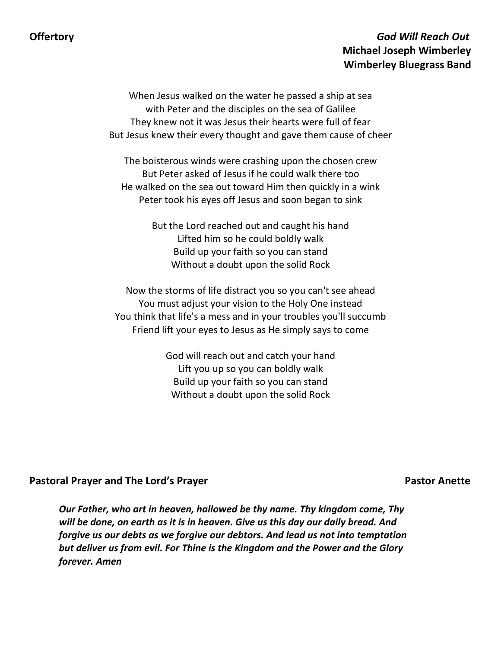# **Offertory** *God Will Reach Out*  **Michael Joseph Wimberley Wimberley Bluegrass Band**

When Jesus walked on the water he passed a ship at sea with Peter and the disciples on the sea of Galilee They knew not it was Jesus their hearts were full of fear But Jesus knew their every thought and gave them cause of cheer

The boisterous winds were crashing upon the chosen crew But Peter asked of Jesus if he could walk there too He walked on the sea out toward Him then quickly in a wink Peter took his eyes off Jesus and soon began to sink

> But the Lord reached out and caught his hand Lifted him so he could boldly walk Build up your faith so you can stand Without a doubt upon the solid Rock

Now the storms of life distract you so you can't see ahead You must adjust your vision to the Holy One instead You think that life's a mess and in your troubles you'll succumb Friend lift your eyes to Jesus as He simply says to come

> God will reach out and catch your hand Lift you up so you can boldly walk Build up your faith so you can stand Without a doubt upon the solid Rock

### **Pastoral Prayer and The Lord's Prayer Pastor Anette**

*Our Father, who art in heaven, hallowed be thy name. Thy kingdom come, Thy will be done, on earth as it is in heaven. Give us this day our daily bread. And forgive us our debts as we forgive our debtors. And lead us not into temptation but deliver us from evil. For Thine is the Kingdom and the Power and the Glory forever. Amen*